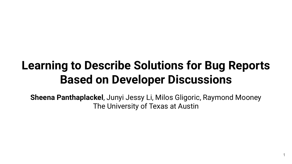## **Learning to Describe Solutions for Bug Reports Based on Developer Discussions**

**Sheena Panthaplackel**, Junyi Jessy Li, Milos Gligoric, Raymond Mooney The University of Texas at Austin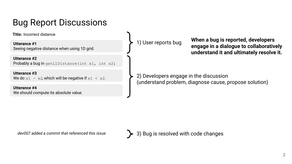**Title:** Incorrect distance

**Utterance #1** Seeing negative distance when using 1D grid.

**Utterance #2** Probably a bug in getL1Distance (int  $x1$ , int  $x2$ ).

**Utterance #3** We do  $x1 - x2$ , which will be negative if  $x1 < x2$ .

**Utterance #4** We should compute its absolute value. 1) User reports bug

**When a bug is reported, developers engage in a dialogue to collaboratively understand it and ultimately resolve it.**

2) Developers engage in the discussion (understand problem, diagnose cause, propose solution)

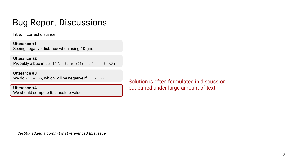**Title:** Incorrect distance

**Utterance #1** Seeing negative distance when using 1D grid.

**Utterance #2** Probably a bug in getL1Distance(int x1, int x2).

**Utterance #3** We do  $x1 - x2$ , which will be negative if  $x1 < x2$ .

**Utterance #4** We should compute its absolute value. Solution is often formulated in discussion but buried under large amount of text.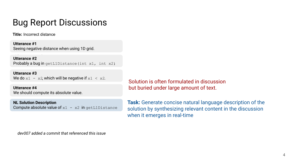**Title:** Incorrect distance

**Utterance #1** Seeing negative distance when using 1D grid.

**Utterance #2** Probably a bug in getL1Distance(int x1, int x2).

**Utterance #3** We do  $x1 - x2$ , which will be negative if  $x1 < x2$ .

**Utterance #4** We should compute its absolute value.

**NL Solution Description** Compute absolute value of  $x1 - x2$  in getL1Distance Solution is often formulated in discussion but buried under large amount of text.

**Task:** Generate concise natural language description of the solution by synthesizing relevant content in the discussion when it emerges in real-time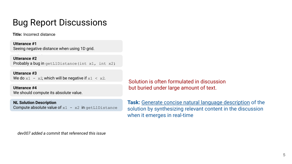**Title:** Incorrect distance

**Utterance #1** Seeing negative distance when using 1D grid.

**Utterance #2** Probably a bug in getL1Distance(int x1, int x2).

**Utterance #3** We do  $x1 - x2$ , which will be negative if  $x1 < x2$ .

**Utterance #4** We should compute its absolute value.

**NL Solution Description** Compute absolute value of  $x1 - x2$  in getL1Distance Solution is often formulated in discussion but buried under large amount of text.

**Task:** Generate concise natural language description of the solution by synthesizing relevant content in the discussion when it emerges in real-time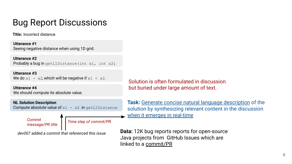**Title:** Incorrect distance

**Utterance #1** Seeing negative distance when using 1D grid.

**Utterance #2** Probably a bug in getL1Distance (int x1, int x2).

**Utterance #3** We do  $x1 - x2$ , which will be negative if  $x1 < x2$ .

**Utterance #4** We should compute its absolute value.

**NL Solution Description** Compute absolute value of  $x1 - x2$  in getL1Distance

*Commit* 

*Time step of commit/PR* 

*dev007 added a commit that referenced this issue*

Solution is often formulated in discussion but buried under large amount of text.

**Task:** Generate concise natural language description of the solution by synthesizing relevant content in the discussion when it emerges in real-time

**Data:** 12K bug reports reports for open-source Java projects from GitHub Issues which are linked to a commit/PR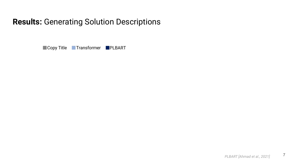#### **Results:** Generating Solution Descriptions

Copy Title Transformer PLBART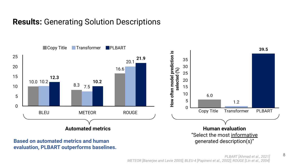#### **Results:** Generating Solution Descriptions



*PLBART [Ahmad et al., 2021] METEOR [Banerjee and Lavie 2005]; BLEU-4 [Papineni et al., 2002]; ROUGE [Lin et al., 2004] 2002]; ROUGE [Lin et al. 2004]*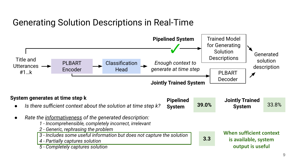## Generating Solution Descriptions in Real-Time

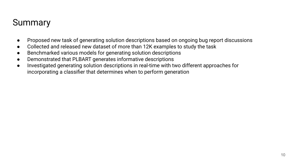## Summary

- Proposed new task of generating solution descriptions based on ongoing bug report discussions
- Collected and released new dataset of more than 12K examples to study the task
- Benchmarked various models for generating solution descriptions
- Demonstrated that PLBART generates informative descriptions
- Investigated generating solution descriptions in real-time with two different approaches for incorporating a classifier that determines when to perform generation